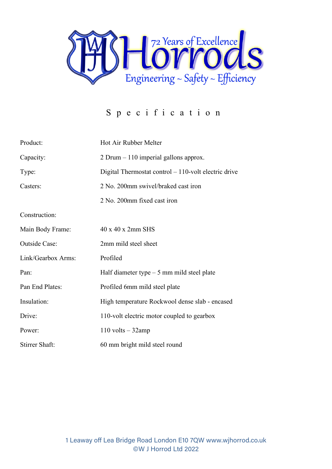

## Specification

| Product:              | Hot Air Rubber Melter                                  |  |
|-----------------------|--------------------------------------------------------|--|
| Capacity:             | 2 Drum $-110$ imperial gallons approx.                 |  |
| Type:                 | Digital Thermostat control $-110$ -volt electric drive |  |
| Casters:              | 2 No. 200mm swivel/braked cast iron                    |  |
|                       | 2 No. 200mm fixed cast iron                            |  |
| Construction:         |                                                        |  |
| Main Body Frame:      | $40 \times 40 \times 2$ mm SHS                         |  |
| <b>Outside Case:</b>  | 2mm mild steel sheet                                   |  |
| Link/Gearbox Arms:    | Profiled                                               |  |
| Pan:                  | Half diameter type $-5$ mm mild steel plate            |  |
| Pan End Plates:       | Profiled 6mm mild steel plate                          |  |
| Insulation:           | High temperature Rockwool dense slab - encased         |  |
| Drive:                | 110-volt electric motor coupled to gearbox             |  |
| Power:                | $110$ volts $-32$ amp                                  |  |
| <b>Stirrer Shaft:</b> | 60 mm bright mild steel round                          |  |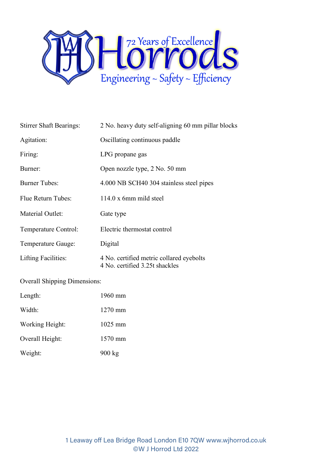

| <b>Stirrer Shaft Bearings:</b> | 2 No. heavy duty self-aligning 60 mm pillar blocks                         |  |
|--------------------------------|----------------------------------------------------------------------------|--|
| Agitation:                     | Oscillating continuous paddle                                              |  |
| Firing:                        | LPG propane gas                                                            |  |
| Burner:                        | Open nozzle type, 2 No. 50 mm                                              |  |
| <b>Burner Tubes:</b>           | 4.000 NB SCH40 304 stainless steel pipes                                   |  |
| Flue Return Tubes:             | $114.0 \times 6$ mm mild steel                                             |  |
| Material Outlet:               | Gate type                                                                  |  |
| Temperature Control:           | Electric thermostat control                                                |  |
| Temperature Gauge:             | Digital                                                                    |  |
| <b>Lifting Facilities:</b>     | 4 No. certified metric collared eyebolts<br>4 No. certified 3.25t shackles |  |

Overall Shipping Dimensions:

| Length:         | 1960 mm           |
|-----------------|-------------------|
| Width:          | $1270 \text{ mm}$ |
| Working Height: | $1025 \text{ mm}$ |
| Overall Height: | 1570 mm           |
| Weight:         | $900 \text{ kg}$  |